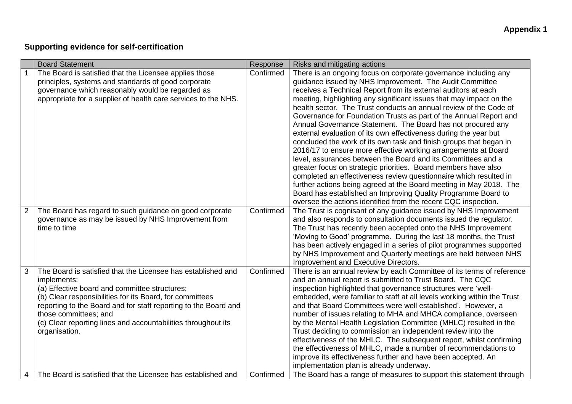## **Supporting evidence for self-certification**

|                | <b>Board Statement</b>                                                                                                                                                                                                                                                                                                                                                 | Response  | Risks and mitigating actions                                                                                                                                                                                                                                                                                                                                                                                                                                                                                                                                                                                                                                                                                                                                                                                                                                                                                                                                                                                                                                                                             |
|----------------|------------------------------------------------------------------------------------------------------------------------------------------------------------------------------------------------------------------------------------------------------------------------------------------------------------------------------------------------------------------------|-----------|----------------------------------------------------------------------------------------------------------------------------------------------------------------------------------------------------------------------------------------------------------------------------------------------------------------------------------------------------------------------------------------------------------------------------------------------------------------------------------------------------------------------------------------------------------------------------------------------------------------------------------------------------------------------------------------------------------------------------------------------------------------------------------------------------------------------------------------------------------------------------------------------------------------------------------------------------------------------------------------------------------------------------------------------------------------------------------------------------------|
|                | The Board is satisfied that the Licensee applies those<br>principles, systems and standards of good corporate<br>governance which reasonably would be regarded as<br>appropriate for a supplier of health care services to the NHS.                                                                                                                                    | Confirmed | There is an ongoing focus on corporate governance including any<br>guidance issued by NHS Improvement. The Audit Committee<br>receives a Technical Report from its external auditors at each<br>meeting, highlighting any significant issues that may impact on the<br>health sector. The Trust conducts an annual review of the Code of<br>Governance for Foundation Trusts as part of the Annual Report and<br>Annual Governance Statement. The Board has not procured any<br>external evaluation of its own effectiveness during the year but<br>concluded the work of its own task and finish groups that began in<br>2016/17 to ensure more effective working arrangements at Board<br>level, assurances between the Board and its Committees and a<br>greater focus on strategic priorities. Board members have also<br>completed an effectiveness review questionnaire which resulted in<br>further actions being agreed at the Board meeting in May 2018. The<br>Board has established an Improving Quality Programme Board to<br>oversee the actions identified from the recent CQC inspection. |
| $\overline{2}$ | The Board has regard to such guidance on good corporate<br>governance as may be issued by NHS Improvement from<br>time to time                                                                                                                                                                                                                                         | Confirmed | The Trust is cognisant of any guidance issued by NHS Improvement<br>and also responds to consultation documents issued the regulator.<br>The Trust has recently been accepted onto the NHS Improvement<br>'Moving to Good' programme. During the last 18 months, the Trust<br>has been actively engaged in a series of pilot programmes supported<br>by NHS Improvement and Quarterly meetings are held between NHS<br>Improvement and Executive Directors.                                                                                                                                                                                                                                                                                                                                                                                                                                                                                                                                                                                                                                              |
| 3              | The Board is satisfied that the Licensee has established and<br>implements:<br>(a) Effective board and committee structures;<br>(b) Clear responsibilities for its Board, for committees<br>reporting to the Board and for staff reporting to the Board and<br>those committees; and<br>(c) Clear reporting lines and accountabilities throughout its<br>organisation. | Confirmed | There is an annual review by each Committee of its terms of reference<br>and an annual report is submitted to Trust Board. The CQC<br>inspection highlighted that governance structures were 'well-<br>embedded, were familiar to staff at all levels working within the Trust<br>and that Board Committees were well established'. However, a<br>number of issues relating to MHA and MHCA compliance, overseen<br>by the Mental Health Legislation Committee (MHLC) resulted in the<br>Trust deciding to commission an independent review into the<br>effectiveness of the MHLC. The subsequent report, whilst confirming<br>the effectiveness of MHLC, made a number of recommendations to<br>improve its effectiveness further and have been accepted. An<br>implementation plan is already underway.                                                                                                                                                                                                                                                                                                |
| 4              | The Board is satisfied that the Licensee has established and                                                                                                                                                                                                                                                                                                           | Confirmed | The Board has a range of measures to support this statement through                                                                                                                                                                                                                                                                                                                                                                                                                                                                                                                                                                                                                                                                                                                                                                                                                                                                                                                                                                                                                                      |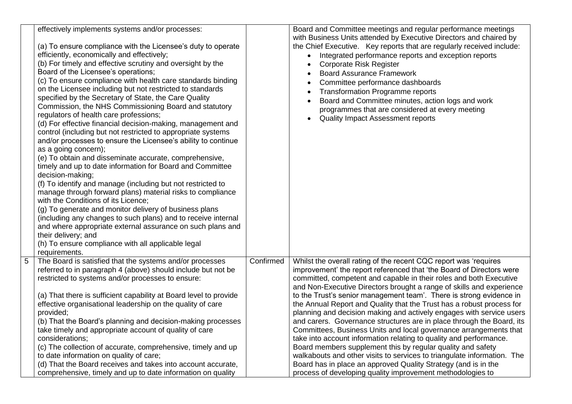| effectively implements systems and/or processes:<br>(a) To ensure compliance with the Licensee's duty to operate<br>efficiently, economically and effectively;<br>(b) For timely and effective scrutiny and oversight by the<br>Board of the Licensee's operations;<br>(c) To ensure compliance with health care standards binding<br>on the Licensee including but not restricted to standards<br>specified by the Secretary of State, the Care Quality<br>Commission, the NHS Commissioning Board and statutory<br>regulators of health care professions;<br>(d) For effective financial decision-making, management and<br>control (including but not restricted to appropriate systems<br>and/or processes to ensure the Licensee's ability to continue<br>as a going concern);<br>(e) To obtain and disseminate accurate, comprehensive,<br>timely and up to date information for Board and Committee<br>decision-making;<br>(f) To identify and manage (including but not restricted to<br>manage through forward plans) material risks to compliance<br>with the Conditions of its Licence;<br>(g) To generate and monitor delivery of business plans<br>(including any changes to such plans) and to receive internal<br>and where appropriate external assurance on such plans and<br>their delivery; and<br>(h) To ensure compliance with all applicable legal<br>requirements. |           | Board and Committee meetings and regular performance meetings<br>with Business Units attended by Executive Directors and chaired by<br>the Chief Executive. Key reports that are regularly received include:<br>Integrated performance reports and exception reports<br><b>Corporate Risk Register</b><br><b>Board Assurance Framework</b><br>Committee performance dashboards<br><b>Transformation Programme reports</b><br>Board and Committee minutes, action logs and work<br>programmes that are considered at every meeting<br><b>Quality Impact Assessment reports</b>                                                                                                                                                                                                                                                                                                                                                                                                                                |
|-------------------------------------------------------------------------------------------------------------------------------------------------------------------------------------------------------------------------------------------------------------------------------------------------------------------------------------------------------------------------------------------------------------------------------------------------------------------------------------------------------------------------------------------------------------------------------------------------------------------------------------------------------------------------------------------------------------------------------------------------------------------------------------------------------------------------------------------------------------------------------------------------------------------------------------------------------------------------------------------------------------------------------------------------------------------------------------------------------------------------------------------------------------------------------------------------------------------------------------------------------------------------------------------------------------------------------------------------------------------------------------------|-----------|--------------------------------------------------------------------------------------------------------------------------------------------------------------------------------------------------------------------------------------------------------------------------------------------------------------------------------------------------------------------------------------------------------------------------------------------------------------------------------------------------------------------------------------------------------------------------------------------------------------------------------------------------------------------------------------------------------------------------------------------------------------------------------------------------------------------------------------------------------------------------------------------------------------------------------------------------------------------------------------------------------------|
| The Board is satisfied that the systems and/or processes<br>referred to in paragraph 4 (above) should include but not be<br>restricted to systems and/or processes to ensure:<br>(a) That there is sufficient capability at Board level to provide<br>effective organisational leadership on the quality of care<br>provided;<br>(b) That the Board's planning and decision-making processes<br>take timely and appropriate account of quality of care<br>considerations;<br>(c) The collection of accurate, comprehensive, timely and up<br>to date information on quality of care;<br>(d) That the Board receives and takes into account accurate,<br>comprehensive, timely and up to date information on quality                                                                                                                                                                                                                                                                                                                                                                                                                                                                                                                                                                                                                                                                       | Confirmed | Whilst the overall rating of the recent CQC report was 'requires<br>improvement' the report referenced that 'the Board of Directors were<br>committed, competent and capable in their roles and both Executive<br>and Non-Executive Directors brought a range of skills and experience<br>to the Trust's senior management team'. There is strong evidence in<br>the Annual Report and Quality that the Trust has a robust process for<br>planning and decision making and actively engages with service users<br>and carers. Governance structures are in place through the Board, its<br>Committees, Business Units and local governance arrangements that<br>take into account information relating to quality and performance.<br>Board members supplement this by regular quality and safety<br>walkabouts and other visits to services to triangulate information. The<br>Board has in place an approved Quality Strategy (and is in the<br>process of developing quality improvement methodologies to |